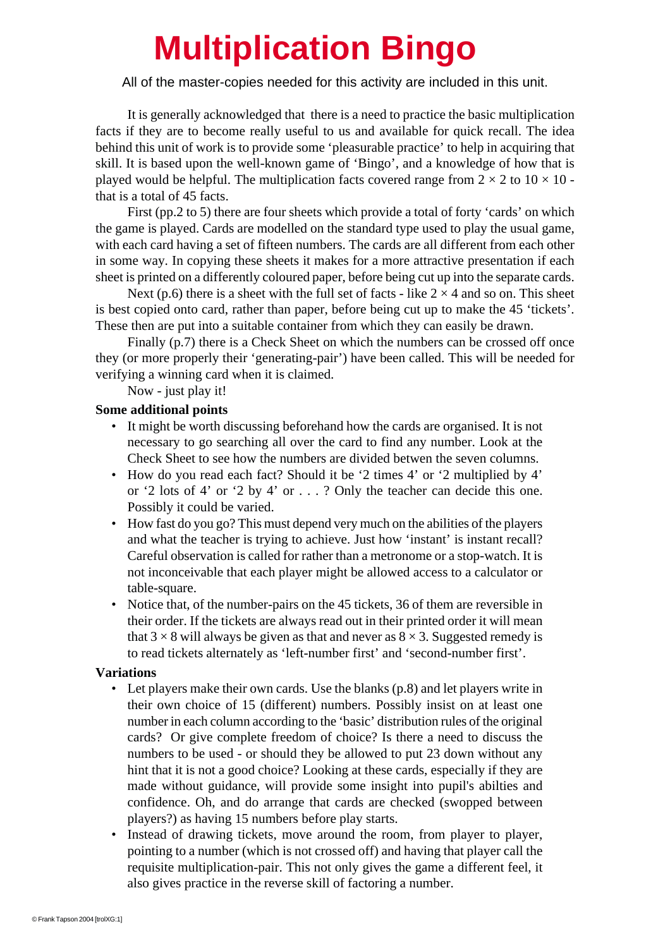## **Multiplication Bingo**

All of the master-copies needed for this activity are included in this unit.

It is generally acknowledged that there is a need to practice the basic multiplication facts if they are to become really useful to us and available for quick recall. The idea behind this unit of work is to provide some 'pleasurable practice' to help in acquiring that skill. It is based upon the well-known game of 'Bingo', and a knowledge of how that is played would be helpful. The multiplication facts covered range from  $2 \times 2$  to  $10 \times 10$  that is a total of 45 facts.

First (pp.2 to 5) there are four sheets which provide a total of forty 'cards' on which the game is played. Cards are modelled on the standard type used to play the usual game, with each card having a set of fifteen numbers. The cards are all different from each other in some way. In copying these sheets it makes for a more attractive presentation if each sheet is printed on a differently coloured paper, before being cut up into the separate cards.

Next (p.6) there is a sheet with the full set of facts - like  $2 \times 4$  and so on. This sheet is best copied onto card, rather than paper, before being cut up to make the 45 'tickets'. These then are put into a suitable container from which they can easily be drawn.

Finally (p.7) there is a Check Sheet on which the numbers can be crossed off once they (or more properly their 'generating-pair') have been called. This will be needed for verifying a winning card when it is claimed.

Now - just play it!

## **Some additional points**

- It might be worth discussing beforehand how the cards are organised. It is not necessary to go searching all over the card to find any number. Look at the Check Sheet to see how the numbers are divided betwen the seven columns.
- How do you read each fact? Should it be '2 times 4' or '2 multiplied by 4' or '2 lots of 4' or '2 by 4' or . . . ? Only the teacher can decide this one. Possibly it could be varied.
- How fast do you go? This must depend very much on the abilities of the players and what the teacher is trying to achieve. Just how 'instant' is instant recall? Careful observation is called for rather than a metronome or a stop-watch. It is not inconceivable that each player might be allowed access to a calculator or table-square.
- Notice that, of the number-pairs on the 45 tickets, 36 of them are reversible in their order. If the tickets are always read out in their printed order it will mean that  $3 \times 8$  will always be given as that and never as  $8 \times 3$ . Suggested remedy is to read tickets alternately as 'left-number first' and 'second-number first'.

## **Variations**

- Let players make their own cards. Use the blanks (p.8) and let players write in their own choice of 15 (different) numbers. Possibly insist on at least one number in each column according to the 'basic' distribution rules of the original cards? Or give complete freedom of choice? Is there a need to discuss the numbers to be used - or should they be allowed to put 23 down without any hint that it is not a good choice? Looking at these cards, especially if they are made without guidance, will provide some insight into pupil's abilties and confidence. Oh, and do arrange that cards are checked (swopped between players?) as having 15 numbers before play starts.
- Instead of drawing tickets, move around the room, from player to player, pointing to a number (which is not crossed off) and having that player call the requisite multiplication-pair. This not only gives the game a different feel, it also gives practice in the reverse skill of factoring a number.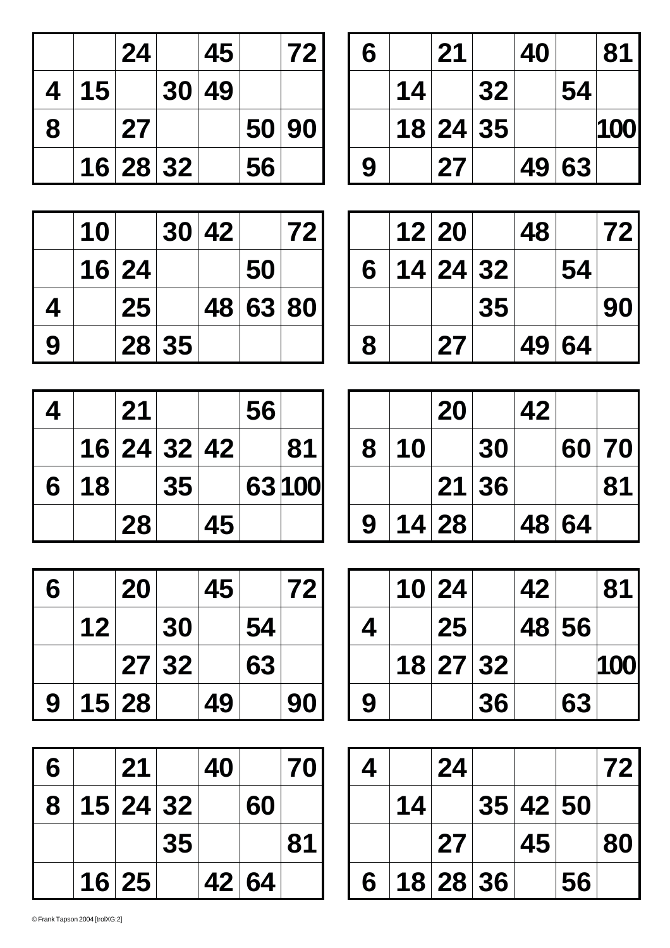|   |    | 24       | 45    |       | 72 |
|---|----|----------|-------|-------|----|
| 4 | 15 |          | 30 49 |       |    |
| 8 |    | 27       |       | 50 90 |    |
|   |    | 16 28 32 |       | 56    |    |

| 6 |    | 21       |    | 40 |       | 81  |
|---|----|----------|----|----|-------|-----|
|   | 14 |          | 32 |    | 54    |     |
|   |    | 18 24 35 |    |    |       | 100 |
| 9 |    | 27       |    |    | 49 63 |     |

|   | 10 |       |       | 30 42 |          | 72 |
|---|----|-------|-------|-------|----------|----|
|   |    | 16 24 |       |       | 50       |    |
| 4 |    | 25    |       |       | 48 63 80 |    |
| 9 |    |       | 28 35 |       |          |    |

|   | 12 20    |    | 48 |       | <b>721</b> |
|---|----------|----|----|-------|------------|
| 6 | 14 24 32 |    |    | 54    |            |
|   |          | 35 |    |       | <b>901</b> |
| 8 | 27       |    |    | 49 64 |            |

| 4 |    | 21          |                 |    | 56 |        |
|---|----|-------------|-----------------|----|----|--------|
|   |    | 16 24 32 42 |                 |    |    | 81     |
| 6 | 18 |             | 35 <sub>1</sub> |    |    | 63 100 |
|   |    | 28          |                 | 45 |    |        |

| 6 |    | 20    |       | 45 |    | 72 |
|---|----|-------|-------|----|----|----|
|   | 12 |       | 30    |    | 54 |    |
|   |    |       | 27 32 |    | 63 |    |
| 9 |    | 15 28 |       | 49 |    | 90 |

| 6 | 21       |    | 40 |       | 70 |
|---|----------|----|----|-------|----|
| 8 | 15 24 32 |    |    | 60    |    |
|   |          | 35 |    |       | 81 |
|   | 16 25    |    |    | 42 64 |    |

|   |    | 20    |       | 42 |       |       |
|---|----|-------|-------|----|-------|-------|
| 8 | 10 |       | 30    |    |       | 60 70 |
|   |    |       | 21 36 |    |       | 81    |
| 9 |    | 14 28 |       |    | 48 64 |       |

|   | 10 24    |    | 42 |       | 81  |
|---|----------|----|----|-------|-----|
| 4 | 25       |    |    | 48 56 |     |
|   | 18 27 32 |    |    |       | 100 |
| 9 |          | 36 |    | 63    |     |

| 4 |    | 24       |          |    | <b>721</b> |
|---|----|----------|----------|----|------------|
|   | 14 |          | 35 42 50 |    |            |
|   |    | 27       | 45       |    | <b>801</b> |
| 6 |    | 18 28 36 |          | 56 |            |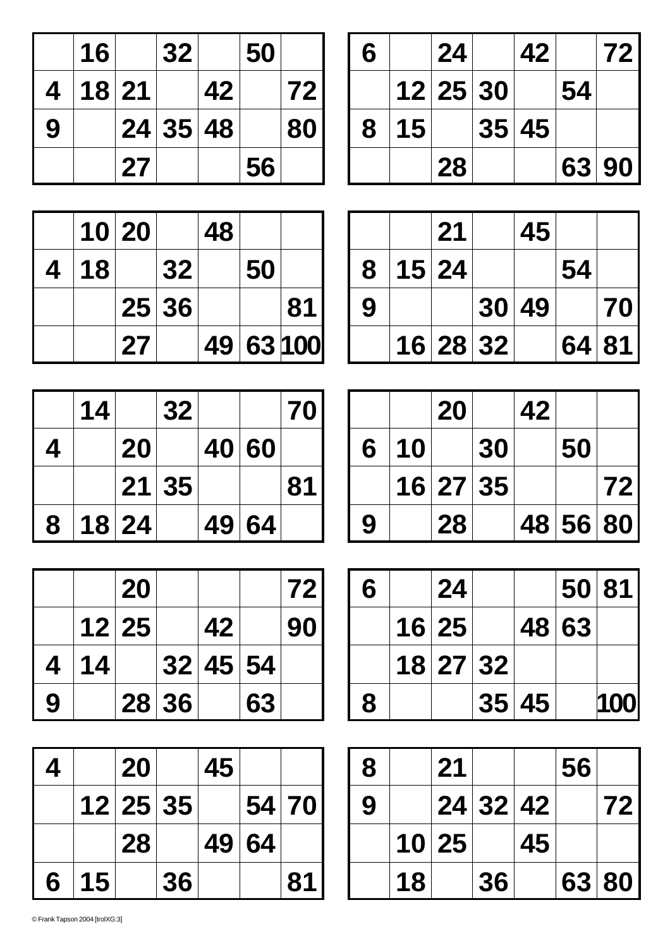|   | 16    |    | 32       |    | 50 |    |
|---|-------|----|----------|----|----|----|
| 4 | 18 21 |    |          | 42 |    | 72 |
| 9 |       |    | 24 35 48 |    |    | 80 |
|   |       | 27 |          |    | 56 |    |

| 6 |    | 24       | 42    |    | 72    |
|---|----|----------|-------|----|-------|
|   |    | 12 25 30 |       | 54 |       |
| 8 | 15 |          | 35 45 |    |       |
|   |    | 28       |       |    | 63 90 |

|   |    | 10 20 |       | 48 |    |           |
|---|----|-------|-------|----|----|-----------|
| 4 | 18 |       | 32    |    | 50 |           |
|   |    |       | 25 36 |    |    | 81        |
|   |    | 27    |       |    |    | 49 63 100 |

|   |       | 21       | 45    |    |            |
|---|-------|----------|-------|----|------------|
| 8 | 15 24 |          |       | 54 |            |
| 9 |       |          | 30 49 |    | <b>701</b> |
|   |       | 16 28 32 |       |    | 64 81      |

|   |    | 20       |    | 42 |          |            |
|---|----|----------|----|----|----------|------------|
| 6 | 10 |          | 30 |    | 50       |            |
|   |    | 16 27 35 |    |    |          | <b>721</b> |
| 9 |    | 28       |    |    | 48 56 80 |            |

| 6 | 24       |       |       | 50 81      |
|---|----------|-------|-------|------------|
|   | 16 25    |       | 48 63 |            |
|   | 18 27 32 |       |       |            |
| 8 |          | 35 45 |       | <b>100</b> |

| 8 |    | 21    |          |    | 56 |       |
|---|----|-------|----------|----|----|-------|
| 9 |    |       | 24 32 42 |    |    | 72 I  |
|   |    | 10 25 |          | 45 |    |       |
|   | 18 |       | 36       |    |    | 63 80 |

|   | 14 |       | 32    |       | 70 |
|---|----|-------|-------|-------|----|
| 4 |    | 20    |       | 40 60 |    |
|   |    |       | 21 35 |       | 81 |
| 8 |    | 18 24 |       | 49 64 |    |

|   |    | 20    |       |          |    | 72 |
|---|----|-------|-------|----------|----|----|
|   |    | 12 25 |       | 42       |    | 90 |
| 4 | 14 |       |       | 32 45 54 |    |    |
| 9 |    |       | 28 36 |          | 63 |    |

| 4 |    | 20       |    | 45 |       |    |
|---|----|----------|----|----|-------|----|
|   |    | 12 25 35 |    |    | 54 70 |    |
|   |    | 28       |    |    | 49 64 |    |
| 6 | 15 |          | 36 |    |       | 81 |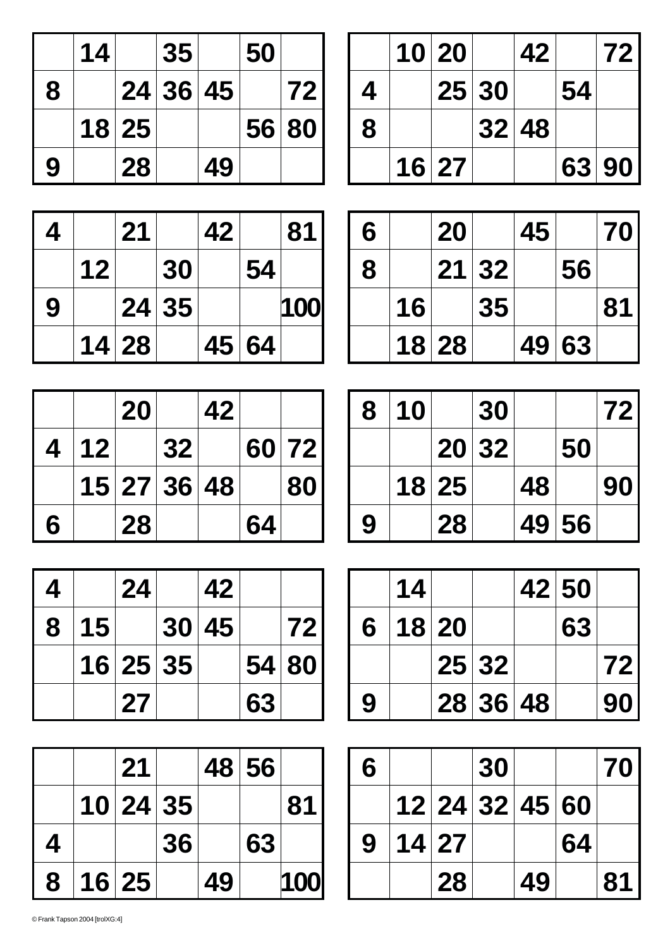|   | 14 |       | 35       |    | 50    |    |
|---|----|-------|----------|----|-------|----|
| 8 |    |       | 24 36 45 |    |       | 72 |
|   |    | 18 25 |          |    | 56 80 |    |
| 9 |    | 28    |          | 49 |       |    |

|   |       | 10 20 |       | 42 |    | 72    |
|---|-------|-------|-------|----|----|-------|
| 4 |       |       | 25 30 |    | 54 |       |
| 8 |       |       | 32 48 |    |    |       |
|   | 16 27 |       |       |    |    | 63 90 |

| 4 |         | 21    |       | 42 |       | 81  |
|---|---------|-------|-------|----|-------|-----|
|   | $12 \,$ |       | 30    |    | 54    |     |
| 9 |         |       | 24 35 |    |       | 100 |
|   |         | 14 28 |       |    | 45 64 |     |

| 6 |    | 20    |       | 45 |       | 70 |
|---|----|-------|-------|----|-------|----|
| 8 |    |       | 21 32 |    | 56    |    |
|   | 16 |       | 35    |    |       | 81 |
|   |    | 18 28 |       |    | 49 63 |    |

|   |                 | 20          |    | 42 |    |       |
|---|-----------------|-------------|----|----|----|-------|
| 4 | 12 <sub>1</sub> |             | 32 |    |    | 60 72 |
|   |                 | 15 27 36 48 |    |    |    | 80    |
| 6 |                 | 28          |    |    | 64 |       |

| 8 | 10 |       | 30    |    |       | <b>721</b> |
|---|----|-------|-------|----|-------|------------|
|   |    |       | 20 32 |    | 50    |            |
|   |    | 18 25 |       | 48 |       | <b>901</b> |
| 9 |    | 28    |       |    | 49 56 |            |

| 4 |                 | 24       | 42    |    |       |
|---|-----------------|----------|-------|----|-------|
| 8 | 15 <sup>1</sup> |          | 30 45 |    | 72    |
|   |                 | 16 25 35 |       |    | 54 80 |
|   |                 | 27       |       | 63 |       |

|   | 21       |    |    | 48 56 |      |
|---|----------|----|----|-------|------|
|   | 10 24 35 |    |    |       | 81   |
| 4 |          | 36 |    | 63    |      |
| 8 | 16 25    |    | 49 |       | 1001 |

|   | 14 |       |          | 42 50 |            |
|---|----|-------|----------|-------|------------|
| 6 |    | 18 20 |          | 63    |            |
|   |    |       | 25 32    |       | <b>721</b> |
| 9 |    |       | 28 36 48 |       | 90         |

| 6 |       |                | 30 |    |    | 70 I |
|---|-------|----------------|----|----|----|------|
|   |       | 12 24 32 45 60 |    |    |    |      |
| 9 | 14 27 |                |    |    | 64 |      |
|   |       | 28             |    | 49 |    | 81   |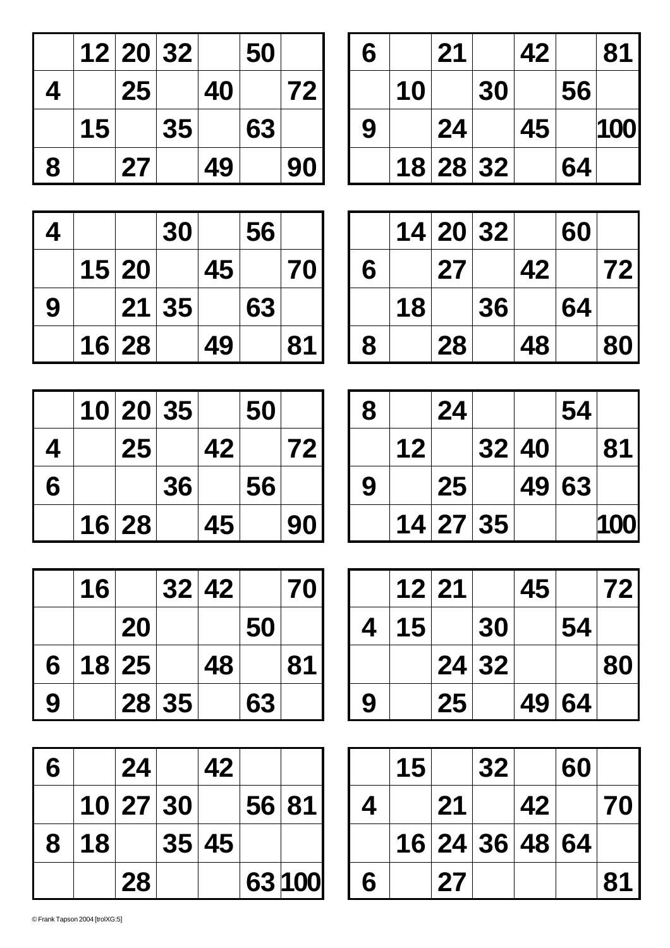|   |    | 12 20 32 |    |    | 50 |    |
|---|----|----------|----|----|----|----|
| 4 |    | 25       |    | 40 |    | 72 |
|   | 15 |          | 35 |    | 63 |    |
| 8 |    | 27       |    | 49 |    | 90 |

| 6 |    | 21       |    | 42 |    | 81  |
|---|----|----------|----|----|----|-----|
|   | 10 |          | 30 |    | 56 |     |
| 9 |    | 24       |    | 45 |    | 100 |
|   |    | 18 28 32 |    |    | 64 |     |

| 4 |       | 30    |    | 56 |    |
|---|-------|-------|----|----|----|
|   | 15 20 |       | 45 |    | 70 |
| 9 |       | 21 35 |    | 63 |    |
|   | 16 28 |       | 49 |    | 81 |

|   | 10 20 35 |    |    | 50 |    |
|---|----------|----|----|----|----|
| 4 | 25       |    | 42 |    | 72 |
| 6 |          | 36 |    | 56 |    |
|   | 16 28    |    | 45 |    | 90 |

| 90 |    | 45    | 16 28 |    |   |
|----|----|-------|-------|----|---|
|    |    |       |       |    |   |
| 70 |    | 32 42 |       | 16 |   |
|    | 50 |       | 20    |    |   |
| 81 |    | 48    | 18 25 |    | 6 |

| 6 |    | 24       | 42    |       |        |
|---|----|----------|-------|-------|--------|
|   |    | 10 27 30 |       | 56 81 |        |
| 8 | 18 |          | 35 45 |       |        |
|   |    | 28       |       |       | 63 100 |

**9 28 35 63**

|   |    | 14 20 32 |    |    | 60 |    |
|---|----|----------|----|----|----|----|
| 6 |    | 27       |    | 42 |    | 72 |
|   | 18 |          | 36 |    | 64 |    |
| 8 |    | 28       |    | 48 |    | 80 |

| 8 |    | 24       |       | 54    |     |
|---|----|----------|-------|-------|-----|
|   | 12 |          | 32 40 |       | 81  |
| 9 |    | 25       |       | 49 63 |     |
|   |    | 14 27 35 |       |       | 100 |

|   | 12 21 |    |       | 45 |       | <b>721</b> |
|---|-------|----|-------|----|-------|------------|
| 4 | 15    |    | 30    |    | 54    |            |
|   |       |    | 24 32 |    |       | <b>801</b> |
| 9 |       | 25 |       |    | 49 64 |            |

|   | 15 |                | 32 |    | 60 |    |
|---|----|----------------|----|----|----|----|
| 4 |    | 21             |    | 42 |    | 70 |
|   |    | 16 24 36 48 64 |    |    |    |    |
| 6 |    | 27             |    |    |    | 81 |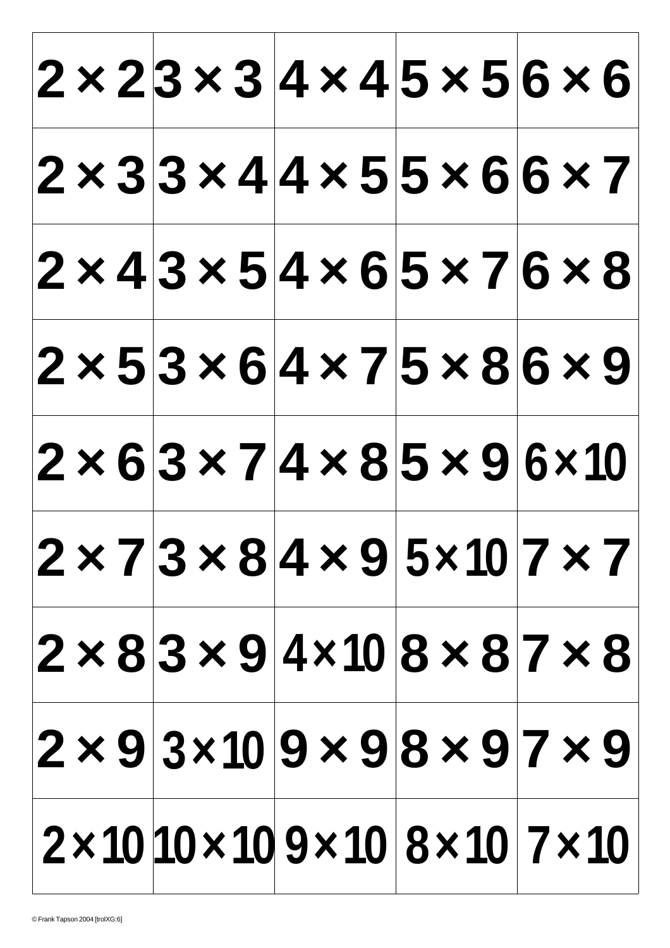|  |  |                                                            |  |  |  |  | $ 2 \times 23 \times 3 4 \times 4 5 \times 5 6 \times 6 $              |
|--|--|------------------------------------------------------------|--|--|--|--|------------------------------------------------------------------------|
|  |  | $ 2 \times 3 3 \times 4 4 \times 5 5 \times 6 6 \times 7 $ |  |  |  |  |                                                                        |
|  |  | $ 2 \times 4 3 \times 5 4 \times 6 5 \times 7 6 \times 8 $ |  |  |  |  |                                                                        |
|  |  | $ 2 \times 5 3 \times 6 4 \times 7 5 \times 8 6 \times 9 $ |  |  |  |  |                                                                        |
|  |  | $ 2 \times 6 3 \times 7 4 \times 8 5 \times 9 6 \times 10$ |  |  |  |  |                                                                        |
|  |  |                                                            |  |  |  |  | $ 2 \times 7 3 \times 8 4 \times 9 5 \times 10 7 \times 7 $            |
|  |  |                                                            |  |  |  |  | $ 2 \times 8 3 \times 9 4 \times 10 8 \times 8 7 \times 8 $            |
|  |  |                                                            |  |  |  |  | $ 2 \times 9 3 \times 10 9 \times 9 8 \times 9 7 \times 9 $            |
|  |  |                                                            |  |  |  |  | $2 \times 10$ 10 $\times$ 10 $9 \times 10$ $8 \times 10$ $7 \times 10$ |